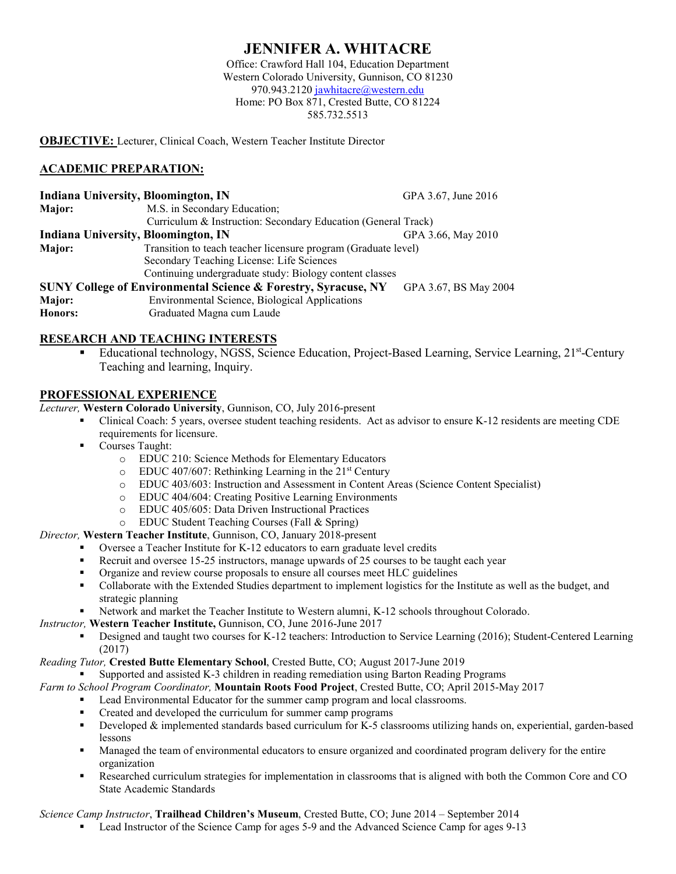# **JENNIFER A. WHITACRE**

Office: Crawford Hall 104, Education Department Western Colorado University, Gunnison, CO 81230 970.943.2120 [jawhitacre@western.edu](mailto:jawhitacre@western.edu) Home: PO Box 871, Crested Butte, CO 81224 585.732.5513

**OBJECTIVE:** Lecturer, Clinical Coach, Western Teacher Institute Director

# **ACADEMIC PREPARATION:**

| <b>Indiana University, Bloomington, IN</b>                                                         |                                                                | GPA 3.67, June 2016 |
|----------------------------------------------------------------------------------------------------|----------------------------------------------------------------|---------------------|
| Major:                                                                                             | M.S. in Secondary Education;                                   |                     |
|                                                                                                    | Curriculum & Instruction: Secondary Education (General Track)  |                     |
| Indiana University, Bloomington, IN                                                                |                                                                | GPA 3.66, May 2010  |
| Major:                                                                                             | Transition to teach teacher licensure program (Graduate level) |                     |
|                                                                                                    | Secondary Teaching License: Life Sciences                      |                     |
|                                                                                                    | Continuing undergraduate study: Biology content classes        |                     |
| <b>SUNY College of Environmental Science &amp; Forestry, Syracuse, NY</b><br>GPA 3.67, BS May 2004 |                                                                |                     |
| Major:                                                                                             | Environmental Science, Biological Applications                 |                     |
| Honors:                                                                                            | Graduated Magna cum Laude                                      |                     |

# **RESEARCH AND TEACHING INTERESTS**

 Educational technology, NGSS, Science Education, Project-Based Learning, Service Learning, 21st-Century Teaching and learning, Inquiry.

## **PROFESSIONAL EXPERIENCE**

*Lecturer,* **Western Colorado University**, Gunnison, CO, July 2016-present

- Clinical Coach: 5 years, oversee student teaching residents. Act as advisor to ensure K-12 residents are meeting CDE requirements for licensure.
- **Courses Taught:** 
	- o EDUC 210: Science Methods for Elementary Educators
	- $\degree$  EDUC 407/607: Rethinking Learning in the 21<sup>st</sup> Century
	- o EDUC 403/603: Instruction and Assessment in Content Areas (Science Content Specialist)
	- o EDUC 404/604: Creating Positive Learning Environments
	- o EDUC 405/605: Data Driven Instructional Practices
	- o EDUC Student Teaching Courses (Fall & Spring)

#### *Director,* **Western Teacher Institute**, Gunnison, CO, January 2018-present

- Oversee a Teacher Institute for K-12 educators to earn graduate level credits
- Recruit and oversee 15-25 instructors, manage upwards of 25 courses to be taught each year
- Organize and review course proposals to ensure all courses meet HLC guidelines
- Collaborate with the Extended Studies department to implement logistics for the Institute as well as the budget, and strategic planning
- Network and market the Teacher Institute to Western alumni, K-12 schools throughout Colorado.

*Instructor,* **Western Teacher Institute,** Gunnison, CO, June 2016-June 2017

 Designed and taught two courses for K-12 teachers: Introduction to Service Learning (2016); Student-Centered Learning (2017)

#### *Reading Tutor,* **Crested Butte Elementary School**, Crested Butte, CO; August 2017-June 2019

Supported and assisted K-3 children in reading remediation using Barton Reading Programs

- *Farm to School Program Coordinator,* **Mountain Roots Food Project**, Crested Butte, CO; April 2015-May 2017
	- Lead Environmental Educator for the summer camp program and local classrooms.
	- Created and developed the curriculum for summer camp programs
	- Developed & implemented standards based curriculum for K-5 classrooms utilizing hands on, experiential, garden-based lessons
	- Managed the team of environmental educators to ensure organized and coordinated program delivery for the entire organization
	- Researched curriculum strategies for implementation in classrooms that is aligned with both the Common Core and CO State Academic Standards

#### *Science Camp Instructor*, **Trailhead Children's Museum**, Crested Butte, CO; June 2014 – September 2014

Lead Instructor of the Science Camp for ages 5-9 and the Advanced Science Camp for ages 9-13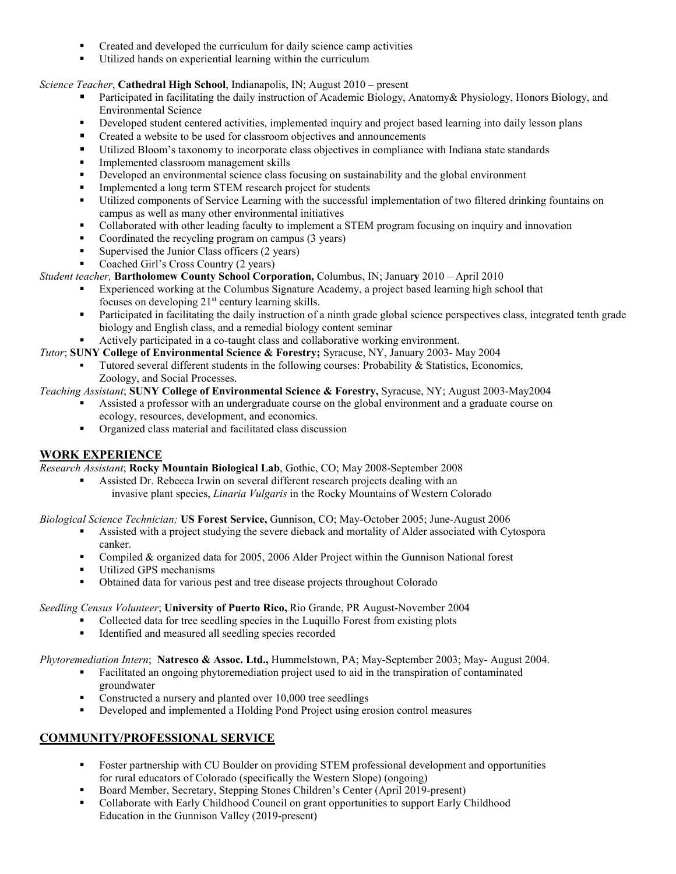- Created and developed the curriculum for daily science camp activities
- Utilized hands on experiential learning within the curriculum

## *Science Teacher*, **Cathedral High School**, Indianapolis, IN; August 2010 – present

- Participated in facilitating the daily instruction of Academic Biology, Anatomy& Physiology, Honors Biology, and Environmental Science
- Developed student centered activities, implemented inquiry and project based learning into daily lesson plans
- Created a website to be used for classroom objectives and announcements
- Utilized Bloom's taxonomy to incorporate class objectives in compliance with Indiana state standards
- Implemented classroom management skills
- Developed an environmental science class focusing on sustainability and the global environment
- Implemented a long term STEM research project for students
- Utilized components of Service Learning with the successful implementation of two filtered drinking fountains on campus as well as many other environmental initiatives
- Collaborated with other leading faculty to implement a STEM program focusing on inquiry and innovation
- Coordinated the recycling program on campus (3 years)
- Supervised the Junior Class officers (2 years)
- Coached Girl's Cross Country (2 years)

## *Student teacher,* **Bartholomew County School Corporation,** Columbus, IN; Januar**y** 2010 – April 2010

- Experienced working at the Columbus Signature Academy, a project based learning high school that focuses on developing  $21<sup>st</sup>$  century learning skills.
- Participated in facilitating the daily instruction of a ninth grade global science perspectives class, integrated tenth grade biology and English class, and a remedial biology content seminar
- Actively participated in a co-taught class and collaborative working environment.
- *Tutor*; **SUNY College of Environmental Science & Forestry;** Syracuse, NY, January 2003- May 2004
	- Tutored several different students in the following courses: Probability & Statistics, Economics, Zoology, and Social Processes.

## *Teaching Assistant*; **SUNY College of Environmental Science & Forestry,** Syracuse, NY; August 2003-May2004

- Assisted a professor with an undergraduate course on the global environment and a graduate course on ecology, resources, development, and economics.
- Organized class material and facilitated class discussion

# **WORK EXPERIENCE**

*Research Assistant*; **Rocky Mountain Biological Lab**, Gothic, CO; May 2008-September 2008

 Assisted Dr. Rebecca Irwin on several different research projects dealing with an invasive plant species, *Linaria Vulgaris* in the Rocky Mountains of Western Colorado

#### *Biological Science Technician;* **US Forest Service,** Gunnison, CO; May-October 2005; June-August 2006

- Assisted with a project studying the severe dieback and mortality of Alder associated with Cytospora canker.
- Compiled & organized data for 2005, 2006 Alder Project within the Gunnison National forest
- **Utilized GPS mechanisms**
- Obtained data for various pest and tree disease projects throughout Colorado

#### *Seedling Census Volunteer*; **University of Puerto Rico,** Rio Grande, PR August-November 2004

- Collected data for tree seedling species in the Luquillo Forest from existing plots
- **IDENTIFIED 1** Identified and measured all seedling species recorded

#### *Phytoremediation Intern*; **Natresco & Assoc. Ltd.,** Hummelstown, PA; May-September 2003; May- August 2004.

- Facilitated an ongoing phytoremediation project used to aid in the transpiration of contaminated groundwater
- Constructed a nursery and planted over 10,000 tree seedlings
- Developed and implemented a Holding Pond Project using erosion control measures

# **COMMUNITY/PROFESSIONAL SERVICE**

- Foster partnership with CU Boulder on providing STEM professional development and opportunities for rural educators of Colorado (specifically the Western Slope) (ongoing)
- Board Member, Secretary, Stepping Stones Children's Center (April 2019-present)
- Collaborate with Early Childhood Council on grant opportunities to support Early Childhood Education in the Gunnison Valley (2019-present)